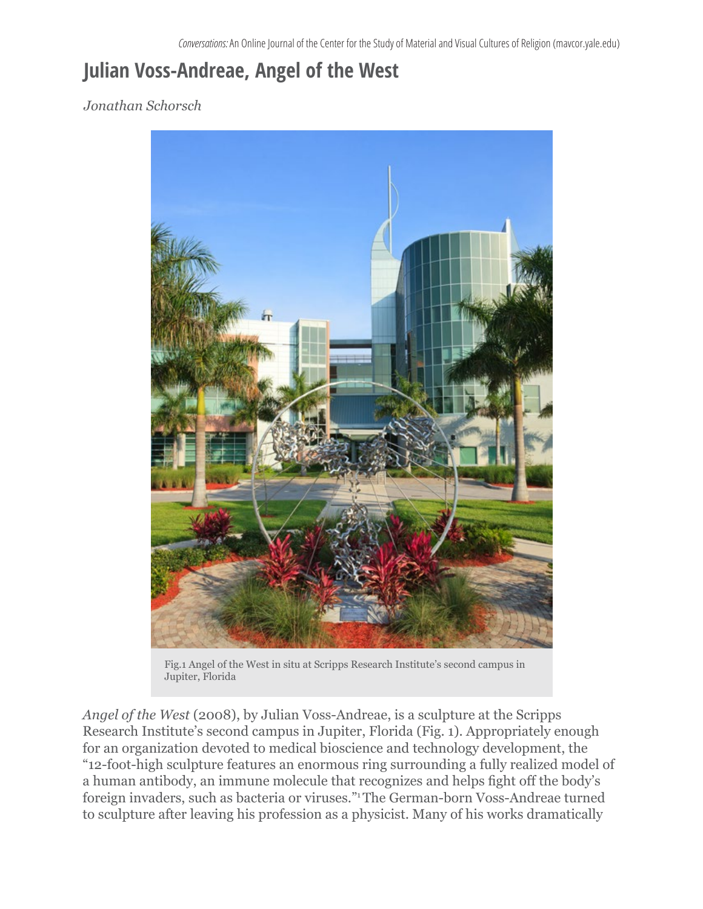## **Julian Voss-Andreae, Angel of the West**

## *Jonathan Schorsch*



Fig.1 Angel of the West in situ at Scripps Research Institute's second campus in Jupiter, Florida

*Angel of the West* (2008), by Julian Voss-Andreae, is a sculpture at the Scripps Research Institute's second campus in Jupiter, Florida (Fig. 1). Appropriately enough for an organization devoted to medical bioscience and technology development, the "12-foot-high sculpture features an enormous ring surrounding a fully realized model of a human antibody, an immune molecule that recognizes and helps fight off the body's foreign invaders, such as bacteria or viruses."1 The German-born Voss-Andreae turned to sculpture after leaving his profession as a physicist. Many of his works dramatically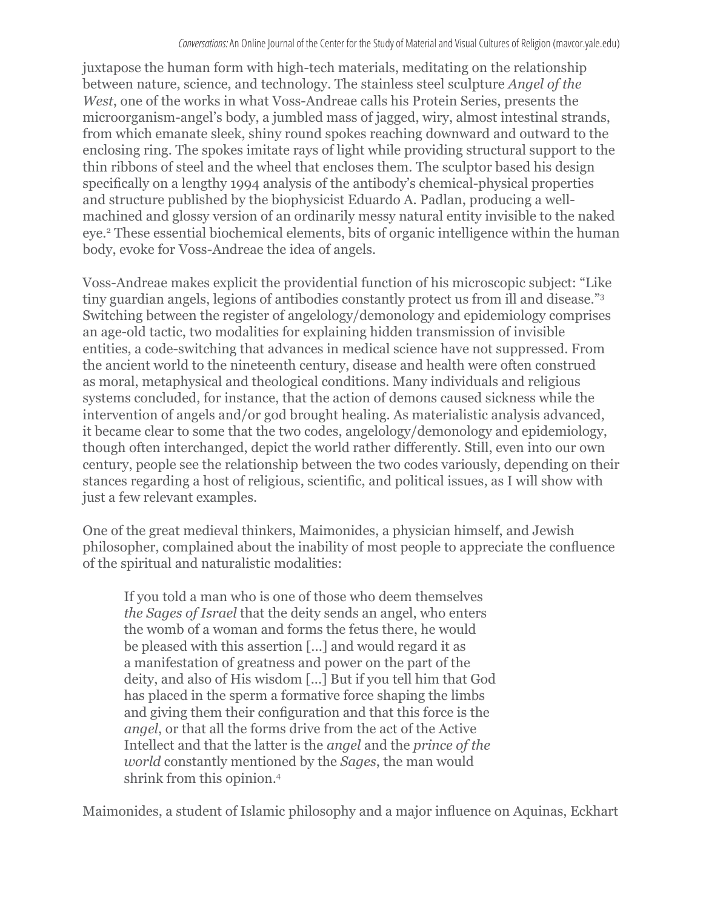juxtapose the human form with high-tech materials, meditating on the relationship between nature, science, and technology. The stainless steel sculpture *Angel of the West*, one of the works in what Voss-Andreae calls his Protein Series, presents the microorganism-angel's body, a jumbled mass of jagged, wiry, almost intestinal strands, from which emanate sleek, shiny round spokes reaching downward and outward to the enclosing ring. The spokes imitate rays of light while providing structural support to the thin ribbons of steel and the wheel that encloses them. The sculptor based his design specifically on a lengthy 1994 analysis of the antibody's chemical-physical properties and structure published by the biophysicist Eduardo A. Padlan, producing a wellmachined and glossy version of an ordinarily messy natural entity invisible to the naked eye.<sup>2</sup> These essential biochemical elements, bits of organic intelligence within the human body, evoke for Voss-Andreae the idea of angels.

Voss-Andreae makes explicit the providential function of his microscopic subject: "Like tiny guardian angels, legions of antibodies constantly protect us from ill and disease."3 Switching between the register of angelology/demonology and epidemiology comprises an age-old tactic, two modalities for explaining hidden transmission of invisible entities, a code-switching that advances in medical science have not suppressed. From the ancient world to the nineteenth century, disease and health were often construed as moral, metaphysical and theological conditions. Many individuals and religious systems concluded, for instance, that the action of demons caused sickness while the intervention of angels and/or god brought healing. As materialistic analysis advanced, it became clear to some that the two codes, angelology/demonology and epidemiology, though often interchanged, depict the world rather differently. Still, even into our own century, people see the relationship between the two codes variously, depending on their stances regarding a host of religious, scientific, and political issues, as I will show with just a few relevant examples.

One of the great medieval thinkers, Maimonides, a physician himself, and Jewish philosopher, complained about the inability of most people to appreciate the confluence of the spiritual and naturalistic modalities:

If you told a man who is one of those who deem themselves *the Sages of Israel* that the deity sends an angel, who enters the womb of a woman and forms the fetus there, he would be pleased with this assertion [...] and would regard it as a manifestation of greatness and power on the part of the deity, and also of His wisdom [...] But if you tell him that God has placed in the sperm a formative force shaping the limbs and giving them their configuration and that this force is the *angel*, or that all the forms drive from the act of the Active Intellect and that the latter is the *angel* and the *prince of the world* constantly mentioned by the *Sages*, the man would shrink from this opinion.<sup>4</sup>

Maimonides, a student of Islamic philosophy and a major influence on Aquinas, Eckhart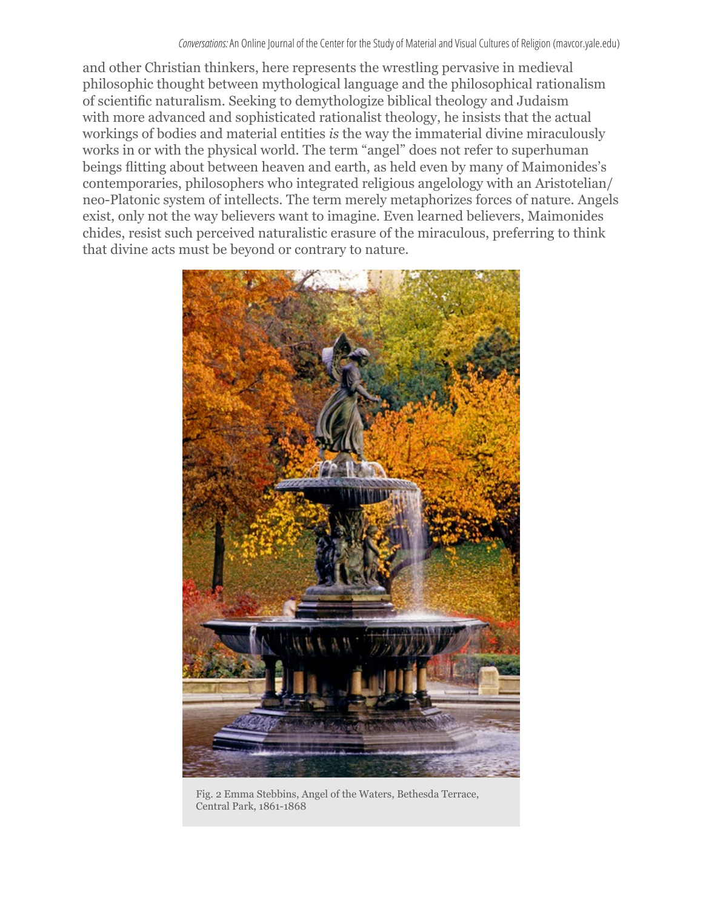and other Christian thinkers, here represents the wrestling pervasive in medieval philosophic thought between mythological language and the philosophical rationalism of scientific naturalism. Seeking to demythologize biblical theology and Judaism with more advanced and sophisticated rationalist theology, he insists that the actual workings of bodies and material entities *is* the way the immaterial divine miraculously works in or with the physical world. The term "angel" does not refer to superhuman beings flitting about between heaven and earth, as held even by many of Maimonides's contemporaries, philosophers who integrated religious angelology with an Aristotelian/ neo-Platonic system of intellects. The term merely metaphorizes forces of nature. Angels exist, only not the way believers want to imagine. Even learned believers, Maimonides chides, resist such perceived naturalistic erasure of the miraculous, preferring to think that divine acts must be beyond or contrary to nature.



Fig. 2 Emma Stebbins, Angel of the Waters, Bethesda Terrace, Central Park, 1861-1868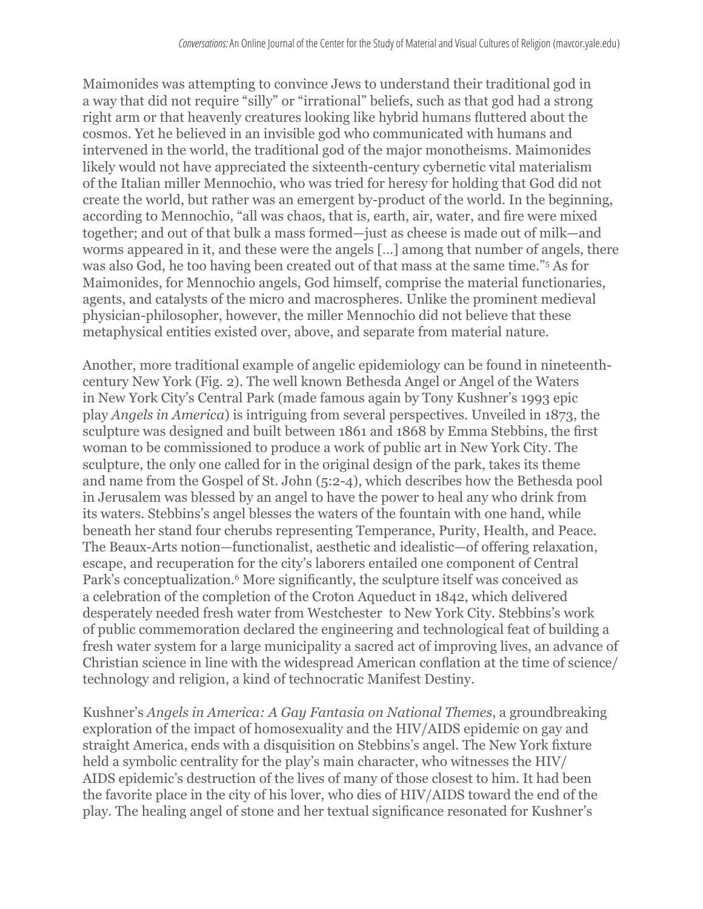Maimonides was attempting to convince Jews to understand their traditional god in a way that did not require "silly" or "irrational" beliefs, such as that god had a strong right arm or that heavenly creatures looking like hybrid humans fluttered about the cosmos. Yet he believed in an invisible god who communicated with humans and intervened in the world, the traditional god of the major monotheisms. Maimonides likely would not have appreciated the sixteenth-century cybernetic vital materialism of the Italian miller Mennochio, who was tried for heresy for holding that God did not create the world, but rather was an emergent by-product of the world. In the beginning, according to Mennochio, "all was chaos, that is, earth, air, water, and fire were mixed together; and out of that bulk a mass formed—just as cheese is made out of milk—and worms appeared in it, and these were the angels […] among that number of angels, there was also God, he too having been created out of that mass at the same time."5 As for Maimonides, for Mennochio angels, God himself, comprise the material functionaries, agents, and catalysts of the micro and macrospheres. Unlike the prominent medieval physician-philosopher, however, the miller Mennochio did not believe that these metaphysical entities existed over, above, and separate from material nature.

Another, more traditional example of angelic epidemiology can be found in nineteenthcentury New York (Fig. 2). The well known Bethesda Angel or Angel of the Waters in New York City's Central Park (made famous again by Tony Kushner's 1993 epic play *Angels in America*) is intriguing from several perspectives. Unveiled in 1873, the sculpture was designed and built between 1861 and 1868 by Emma Stebbins, the first woman to be commissioned to produce a work of public art in New York City. The sculpture, the only one called for in the original design of the park, takes its theme and name from the Gospel of St. John (5:2-4), which describes how the Bethesda pool in Jerusalem was blessed by an angel to have the power to heal any who drink from its waters. Stebbins's angel blesses the waters of the fountain with one hand, while beneath her stand four cherubs representing Temperance, Purity, Health, and Peace. The Beaux-Arts notion—functionalist, aesthetic and idealistic—of offering relaxation, escape, and recuperation for the city's laborers entailed one component of Central Park's conceptualization.<sup>6</sup> More significantly, the sculpture itself was conceived as a celebration of the completion of the Croton Aqueduct in 1842, which delivered desperately needed fresh water from Westchester to New York City. Stebbins's work of public commemoration declared the engineering and technological feat of building a fresh water system for a large municipality a sacred act of improving lives, an advance of Christian science in line with the widespread American conflation at the time of science/ technology and religion, a kind of technocratic Manifest Destiny.

Kushner's *Angels in America: A Gay Fantasia on National Themes*, a groundbreaking exploration of the impact of homosexuality and the HIV/AIDS epidemic on gay and straight America, ends with a disquisition on Stebbins's angel. The New York fixture held a symbolic centrality for the play's main character, who witnesses the HIV/ AIDS epidemic's destruction of the lives of many of those closest to him. It had been the favorite place in the city of his lover, who dies of HIV/AIDS toward the end of the play. The healing angel of stone and her textual significance resonated for Kushner's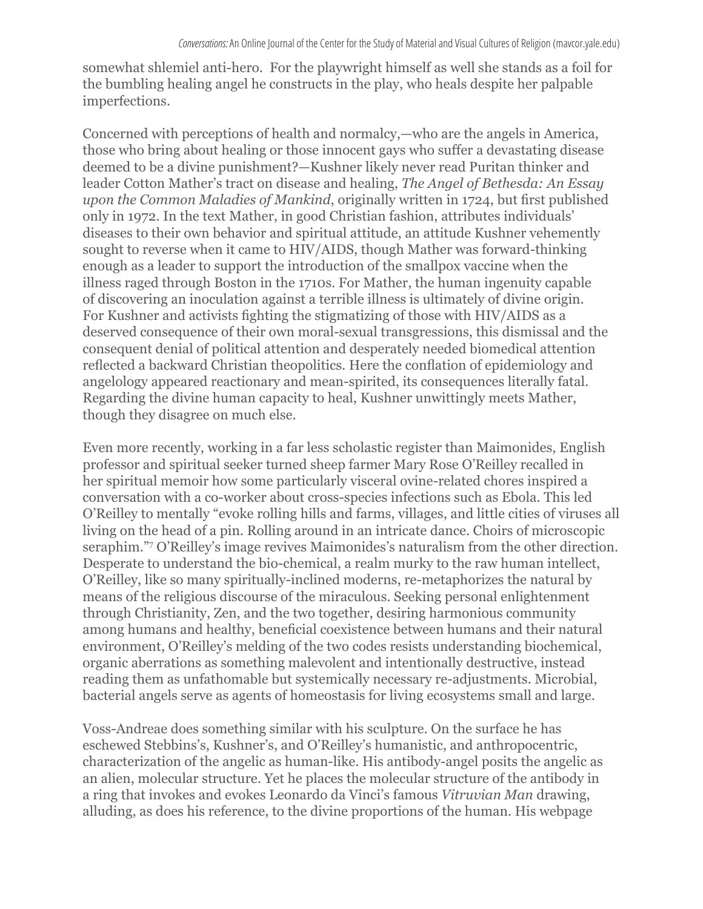somewhat shlemiel anti-hero. For the playwright himself as well she stands as a foil for the bumbling healing angel he constructs in the play, who heals despite her palpable imperfections.

Concerned with perceptions of health and normalcy,—who are the angels in America, those who bring about healing or those innocent gays who suffer a devastating disease deemed to be a divine punishment?—Kushner likely never read Puritan thinker and leader Cotton Mather's tract on disease and healing, *The Angel of Bethesda: An Essay upon the Common Maladies of Mankind*, originally written in 1724, but first published only in 1972. In the text Mather, in good Christian fashion, attributes individuals' diseases to their own behavior and spiritual attitude, an attitude Kushner vehemently sought to reverse when it came to HIV/AIDS, though Mather was forward-thinking enough as a leader to support the introduction of the smallpox vaccine when the illness raged through Boston in the 1710s. For Mather, the human ingenuity capable of discovering an inoculation against a terrible illness is ultimately of divine origin. For Kushner and activists fighting the stigmatizing of those with HIV/AIDS as a deserved consequence of their own moral-sexual transgressions, this dismissal and the consequent denial of political attention and desperately needed biomedical attention reflected a backward Christian theopolitics. Here the conflation of epidemiology and angelology appeared reactionary and mean-spirited, its consequences literally fatal. Regarding the divine human capacity to heal, Kushner unwittingly meets Mather, though they disagree on much else.

Even more recently, working in a far less scholastic register than Maimonides, English professor and spiritual seeker turned sheep farmer Mary Rose O'Reilley recalled in her spiritual memoir how some particularly visceral ovine-related chores inspired a conversation with a co-worker about cross-species infections such as Ebola. This led O'Reilley to mentally "evoke rolling hills and farms, villages, and little cities of viruses all living on the head of a pin. Rolling around in an intricate dance. Choirs of microscopic seraphim."7 O'Reilley's image revives Maimonides's naturalism from the other direction. Desperate to understand the bio-chemical, a realm murky to the raw human intellect, O'Reilley, like so many spiritually-inclined moderns, re-metaphorizes the natural by means of the religious discourse of the miraculous. Seeking personal enlightenment through Christianity, Zen, and the two together, desiring harmonious community among humans and healthy, beneficial coexistence between humans and their natural environment, O'Reilley's melding of the two codes resists understanding biochemical, organic aberrations as something malevolent and intentionally destructive, instead reading them as unfathomable but systemically necessary re-adjustments. Microbial, bacterial angels serve as agents of homeostasis for living ecosystems small and large.

Voss-Andreae does something similar with his sculpture. On the surface he has eschewed Stebbins's, Kushner's, and O'Reilley's humanistic, and anthropocentric, characterization of the angelic as human-like. His antibody-angel posits the angelic as an alien, molecular structure. Yet he places the molecular structure of the antibody in a ring that invokes and evokes Leonardo da Vinci's famous *Vitruvian Man* drawing, alluding, as does his reference, to the divine proportions of the human. His webpage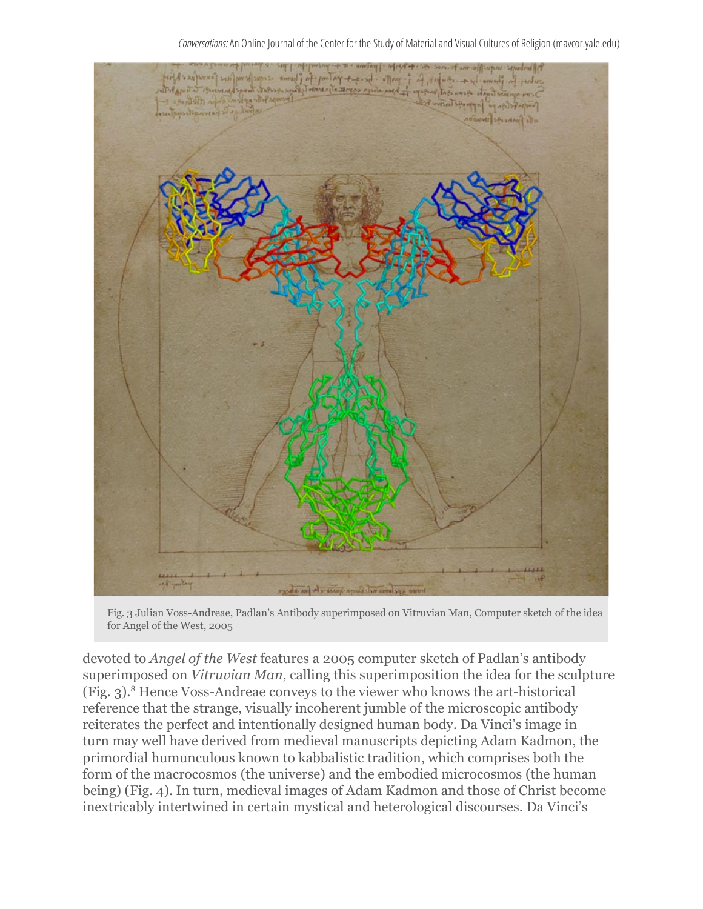

Fig. 3 Julian Voss-Andreae, Padlan's Antibody superimposed on Vitruvian Man, Computer sketch of the idea for Angel of the West, 2005

devoted to *Angel of the West* features a 2005 computer sketch of Padlan's antibody superimposed on *Vitruvian Man*, calling this superimposition the idea for the sculpture (Fig. 3).8 Hence Voss-Andreae conveys to the viewer who knows the art-historical reference that the strange, visually incoherent jumble of the microscopic antibody reiterates the perfect and intentionally designed human body. Da Vinci's image in turn may well have derived from medieval manuscripts depicting Adam Kadmon, the primordial humunculous known to kabbalistic tradition, which comprises both the form of the macrocosmos (the universe) and the embodied microcosmos (the human being) (Fig. 4). In turn, medieval images of Adam Kadmon and those of Christ become inextricably intertwined in certain mystical and heterological discourses. Da Vinci's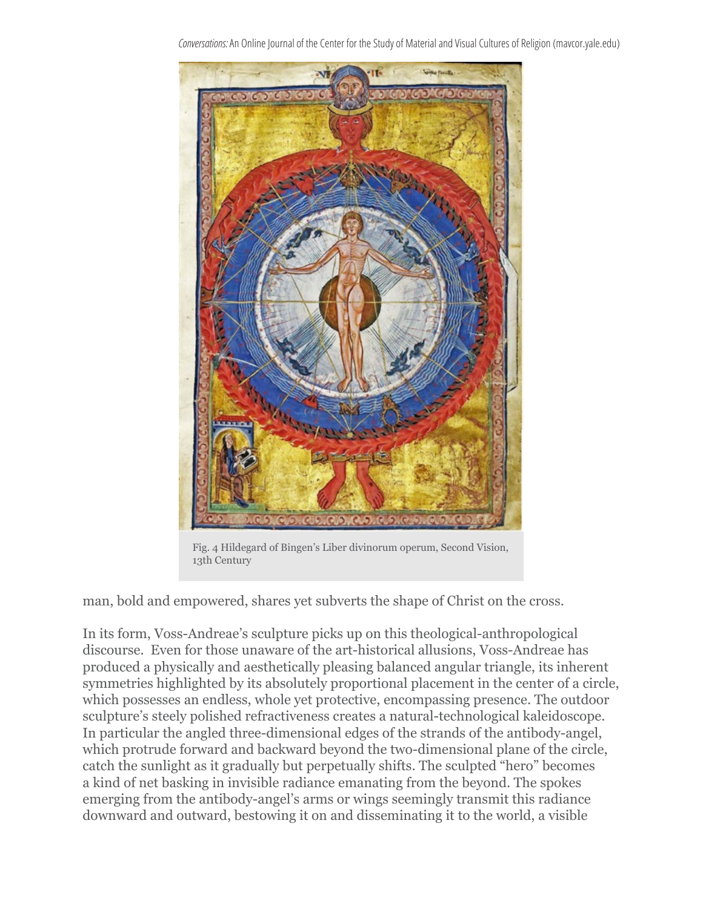*Conversations:* An Online Journal of the Center for the Study of Material and Visual Cultures of Religion (mavcor.yale.edu)

Fig. 4 Hildegard of Bingen's Liber divinorum operum, Second Vision, 13th Century

man, bold and empowered, shares yet subverts the shape of Christ on the cross.

In its form, Voss-Andreae's sculpture picks up on this theological-anthropological discourse. Even for those unaware of the art-historical allusions, Voss-Andreae has produced a physically and aesthetically pleasing balanced angular triangle, its inherent symmetries highlighted by its absolutely proportional placement in the center of a circle, which possesses an endless, whole yet protective, encompassing presence. The outdoor sculpture's steely polished refractiveness creates a natural-technological kaleidoscope. In particular the angled three-dimensional edges of the strands of the antibody-angel, which protrude forward and backward beyond the two-dimensional plane of the circle, catch the sunlight as it gradually but perpetually shifts. The sculpted "hero" becomes a kind of net basking in invisible radiance emanating from the beyond. The spokes emerging from the antibody-angel's arms or wings seemingly transmit this radiance downward and outward, bestowing it on and disseminating it to the world, a visible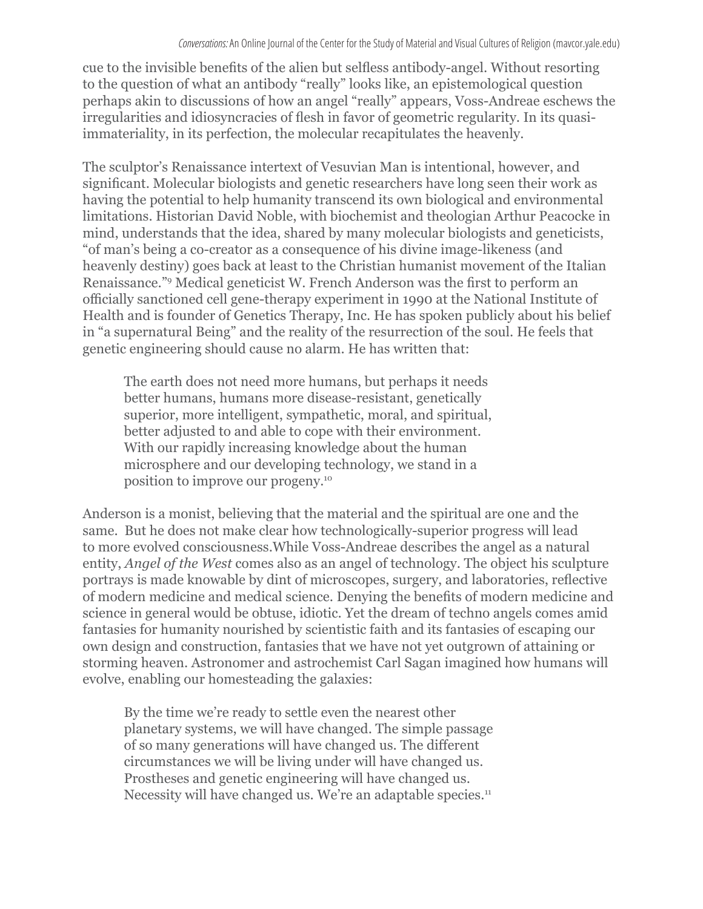cue to the invisible benefits of the alien but selfless antibody-angel. Without resorting to the question of what an antibody "really" looks like, an epistemological question perhaps akin to discussions of how an angel "really" appears, Voss-Andreae eschews the irregularities and idiosyncracies of flesh in favor of geometric regularity. In its quasiimmateriality, in its perfection, the molecular recapitulates the heavenly.

The sculptor's Renaissance intertext of Vesuvian Man is intentional, however, and significant. Molecular biologists and genetic researchers have long seen their work as having the potential to help humanity transcend its own biological and environmental limitations. Historian David Noble, with biochemist and theologian Arthur Peacocke in mind, understands that the idea, shared by many molecular biologists and geneticists, "of man's being a co-creator as a consequence of his divine image-likeness (and heavenly destiny) goes back at least to the Christian humanist movement of the Italian Renaissance."<sup>9</sup> Medical geneticist W. French Anderson was the first to perform an officially sanctioned cell gene-therapy experiment in 1990 at the National Institute of Health and is founder of Genetics Therapy, Inc. He has spoken publicly about his belief in "a supernatural Being" and the reality of the resurrection of the soul. He feels that genetic engineering should cause no alarm. He has written that:

The earth does not need more humans, but perhaps it needs better humans, humans more disease-resistant, genetically superior, more intelligent, sympathetic, moral, and spiritual, better adjusted to and able to cope with their environment. With our rapidly increasing knowledge about the human microsphere and our developing technology, we stand in a position to improve our progeny.10

Anderson is a monist, believing that the material and the spiritual are one and the same. But he does not make clear how technologically-superior progress will lead to more evolved consciousness.While Voss-Andreae describes the angel as a natural entity, *Angel of the West* comes also as an angel of technology. The object his sculpture portrays is made knowable by dint of microscopes, surgery, and laboratories, reflective of modern medicine and medical science. Denying the benefits of modern medicine and science in general would be obtuse, idiotic. Yet the dream of techno angels comes amid fantasies for humanity nourished by scientistic faith and its fantasies of escaping our own design and construction, fantasies that we have not yet outgrown of attaining or storming heaven. Astronomer and astrochemist Carl Sagan imagined how humans will evolve, enabling our homesteading the galaxies:

By the time we're ready to settle even the nearest other planetary systems, we will have changed. The simple passage of so many generations will have changed us. The different circumstances we will be living under will have changed us. Prostheses and genetic engineering will have changed us. Necessity will have changed us. We're an adaptable species.<sup>11</sup>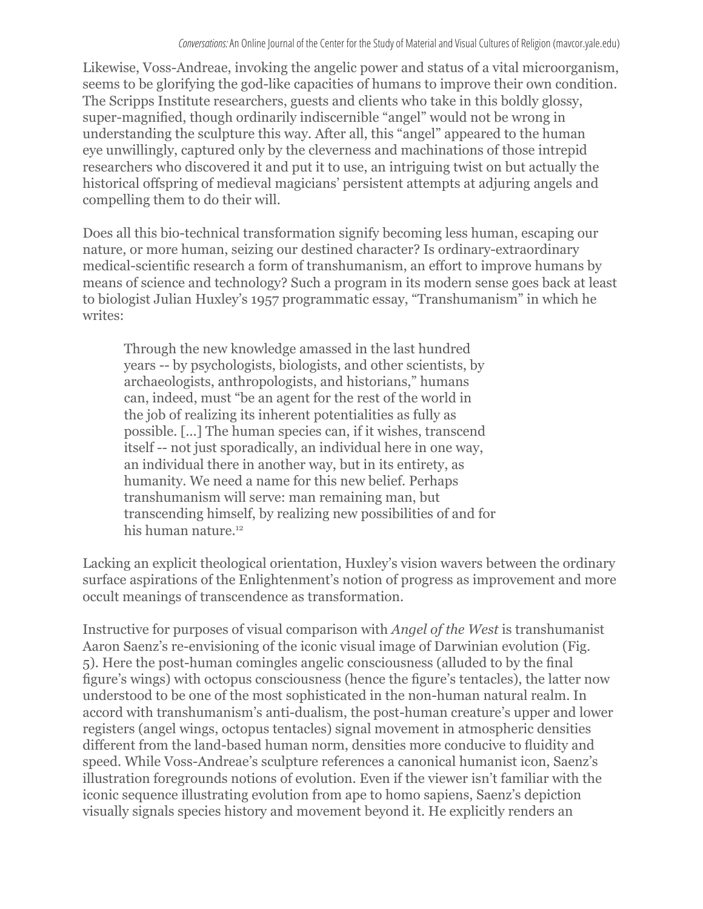Likewise, Voss-Andreae, invoking the angelic power and status of a vital microorganism, seems to be glorifying the god-like capacities of humans to improve their own condition. The Scripps Institute researchers, guests and clients who take in this boldly glossy, super-magnified, though ordinarily indiscernible "angel" would not be wrong in understanding the sculpture this way. After all, this "angel" appeared to the human eye unwillingly, captured only by the cleverness and machinations of those intrepid researchers who discovered it and put it to use, an intriguing twist on but actually the historical offspring of medieval magicians' persistent attempts at adjuring angels and compelling them to do their will.

Does all this bio-technical transformation signify becoming less human, escaping our nature, or more human, seizing our destined character? Is ordinary-extraordinary medical-scientific research a form of transhumanism, an effort to improve humans by means of science and technology? Such a program in its modern sense goes back at least to biologist Julian Huxley's 1957 programmatic essay, "Transhumanism" in which he writes:

Through the new knowledge amassed in the last hundred years -- by psychologists, biologists, and other scientists, by archaeologists, anthropologists, and historians," humans can, indeed, must "be an agent for the rest of the world in the job of realizing its inherent potentialities as fully as possible. [...] The human species can, if it wishes, transcend itself -- not just sporadically, an individual here in one way, an individual there in another way, but in its entirety, as humanity. We need a name for this new belief. Perhaps transhumanism will serve: man remaining man, but transcending himself, by realizing new possibilities of and for his human nature.<sup>12</sup>

Lacking an explicit theological orientation, Huxley's vision wavers between the ordinary surface aspirations of the Enlightenment's notion of progress as improvement and more occult meanings of transcendence as transformation.

Instructive for purposes of visual comparison with *Angel of the West* is transhumanist Aaron Saenz's re-envisioning of the iconic visual image of Darwinian evolution (Fig. 5). Here the post-human comingles angelic consciousness (alluded to by the final figure's wings) with octopus consciousness (hence the figure's tentacles), the latter now understood to be one of the most sophisticated in the non-human natural realm. In accord with transhumanism's anti-dualism, the post-human creature's upper and lower registers (angel wings, octopus tentacles) signal movement in atmospheric densities different from the land-based human norm, densities more conducive to fluidity and speed. While Voss-Andreae's sculpture references a canonical humanist icon, Saenz's illustration foregrounds notions of evolution. Even if the viewer isn't familiar with the iconic sequence illustrating evolution from ape to homo sapiens, Saenz's depiction visually signals species history and movement beyond it. He explicitly renders an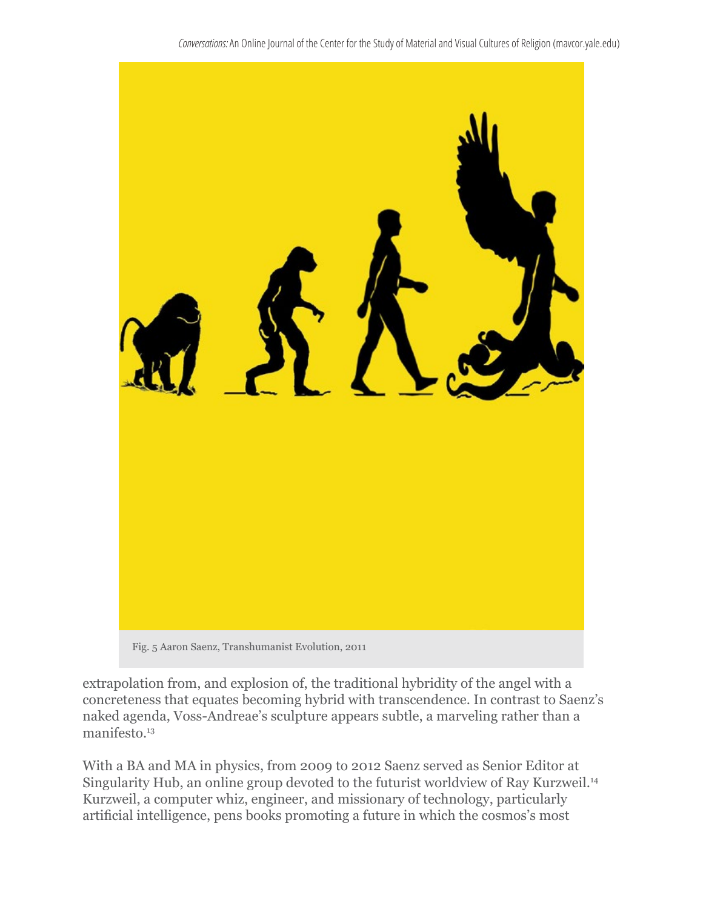

extrapolation from, and explosion of, the traditional hybridity of the angel with a concreteness that equates becoming hybrid with transcendence. In contrast to Saenz's naked agenda, Voss-Andreae's sculpture appears subtle, a marveling rather than a manifesto.<sup>13</sup>

With a BA and MA in physics, from 2009 to 2012 Saenz served as Senior Editor at Singularity Hub, an online group devoted to the futurist worldview of Ray Kurzweil.<sup>14</sup> Kurzweil, a computer whiz, engineer, and missionary of technology, particularly artificial intelligence, pens books promoting a future in which the cosmos's most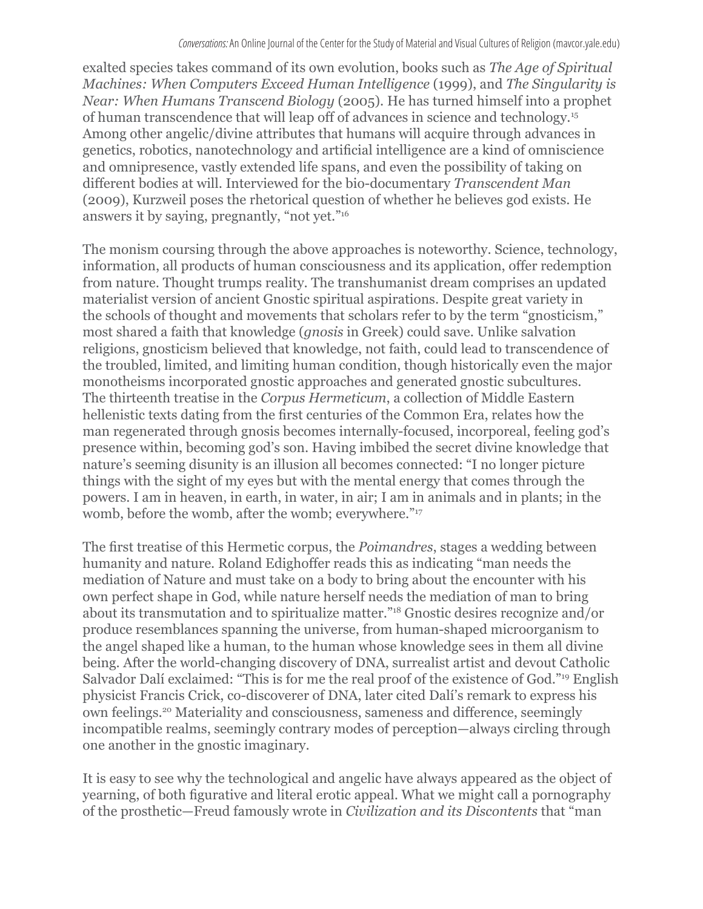exalted species takes command of its own evolution, books such as *The Age of Spiritual Machines: When Computers Exceed Human Intelligence* (1999), and *The Singularity is Near: When Humans Transcend Biology* (2005). He has turned himself into a prophet of human transcendence that will leap off of advances in science and technology.<sup>15</sup> Among other angelic/divine attributes that humans will acquire through advances in genetics, robotics, nanotechnology and artificial intelligence are a kind of omniscience and omnipresence, vastly extended life spans, and even the possibility of taking on different bodies at will. Interviewed for the bio-documentary *Transcendent Man* (2009), Kurzweil poses the rhetorical question of whether he believes god exists. He answers it by saying, pregnantly, "not yet."16

The monism coursing through the above approaches is noteworthy. Science, technology, information, all products of human consciousness and its application, offer redemption from nature. Thought trumps reality. The transhumanist dream comprises an updated materialist version of ancient Gnostic spiritual aspirations. Despite great variety in the schools of thought and movements that scholars refer to by the term "gnosticism," most shared a faith that knowledge (*gnosis* in Greek) could save. Unlike salvation religions, gnosticism believed that knowledge, not faith, could lead to transcendence of the troubled, limited, and limiting human condition, though historically even the major monotheisms incorporated gnostic approaches and generated gnostic subcultures. The thirteenth treatise in the *Corpus Hermeticum*, a collection of Middle Eastern hellenistic texts dating from the first centuries of the Common Era, relates how the man regenerated through gnosis becomes internally-focused, incorporeal, feeling god's presence within, becoming god's son. Having imbibed the secret divine knowledge that nature's seeming disunity is an illusion all becomes connected: "I no longer picture things with the sight of my eyes but with the mental energy that comes through the powers. I am in heaven, in earth, in water, in air; I am in animals and in plants; in the womb, before the womb, after the womb; everywhere."<sup>17</sup>

The first treatise of this Hermetic corpus, the *Poimandres*, stages a wedding between humanity and nature. Roland Edighoffer reads this as indicating "man needs the mediation of Nature and must take on a body to bring about the encounter with his own perfect shape in God, while nature herself needs the mediation of man to bring about its transmutation and to spiritualize matter."18 Gnostic desires recognize and/or produce resemblances spanning the universe, from human-shaped microorganism to the angel shaped like a human, to the human whose knowledge sees in them all divine being. After the world-changing discovery of DNA, surrealist artist and devout Catholic Salvador Dalí exclaimed: "This is for me the real proof of the existence of God."<sup>19</sup> English physicist Francis Crick, co-discoverer of DNA, later cited Dalí's remark to express his own feelings.20 Materiality and consciousness, sameness and difference, seemingly incompatible realms, seemingly contrary modes of perception—always circling through one another in the gnostic imaginary.

It is easy to see why the technological and angelic have always appeared as the object of yearning, of both figurative and literal erotic appeal. What we might call a pornography of the prosthetic—Freud famously wrote in *Civilization and its Discontents* that "man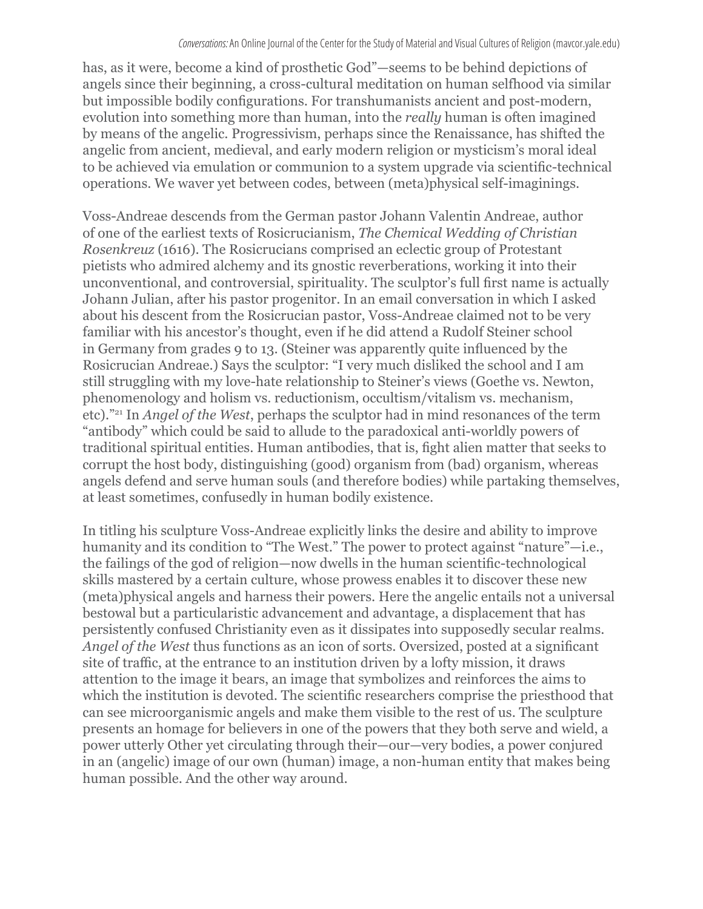has, as it were, become a kind of prosthetic God"—seems to be behind depictions of angels since their beginning, a cross-cultural meditation on human selfhood via similar but impossible bodily configurations. For transhumanists ancient and post-modern, evolution into something more than human, into the *really* human is often imagined by means of the angelic. Progressivism, perhaps since the Renaissance, has shifted the angelic from ancient, medieval, and early modern religion or mysticism's moral ideal to be achieved via emulation or communion to a system upgrade via scientific-technical operations. We waver yet between codes, between (meta)physical self-imaginings.

Voss-Andreae descends from the German pastor Johann Valentin Andreae, author of one of the earliest texts of Rosicrucianism, *The Chemical Wedding of Christian Rosenkreuz* (1616). The Rosicrucians comprised an eclectic group of Protestant pietists who admired alchemy and its gnostic reverberations, working it into their unconventional, and controversial, spirituality. The sculptor's full first name is actually Johann Julian, after his pastor progenitor. In an email conversation in which I asked about his descent from the Rosicrucian pastor, Voss-Andreae claimed not to be very familiar with his ancestor's thought, even if he did attend a Rudolf Steiner school in Germany from grades 9 to 13. (Steiner was apparently quite influenced by the Rosicrucian Andreae.) Says the sculptor: "I very much disliked the school and I am still struggling with my love-hate relationship to Steiner's views (Goethe vs. Newton, phenomenology and holism vs. reductionism, occultism/vitalism vs. mechanism, etc)."21 In *Angel of the West*, perhaps the sculptor had in mind resonances of the term "antibody" which could be said to allude to the paradoxical anti-worldly powers of traditional spiritual entities. Human antibodies, that is, fight alien matter that seeks to corrupt the host body, distinguishing (good) organism from (bad) organism, whereas angels defend and serve human souls (and therefore bodies) while partaking themselves, at least sometimes, confusedly in human bodily existence.

In titling his sculpture Voss-Andreae explicitly links the desire and ability to improve humanity and its condition to "The West." The power to protect against "nature"—i.e., the failings of the god of religion—now dwells in the human scientific-technological skills mastered by a certain culture, whose prowess enables it to discover these new (meta)physical angels and harness their powers. Here the angelic entails not a universal bestowal but a particularistic advancement and advantage, a displacement that has persistently confused Christianity even as it dissipates into supposedly secular realms. *Angel of the West* thus functions as an icon of sorts. Oversized, posted at a significant site of traffic, at the entrance to an institution driven by a lofty mission, it draws attention to the image it bears, an image that symbolizes and reinforces the aims to which the institution is devoted. The scientific researchers comprise the priesthood that can see microorganismic angels and make them visible to the rest of us. The sculpture presents an homage for believers in one of the powers that they both serve and wield, a power utterly Other yet circulating through their—our—very bodies, a power conjured in an (angelic) image of our own (human) image, a non-human entity that makes being human possible. And the other way around.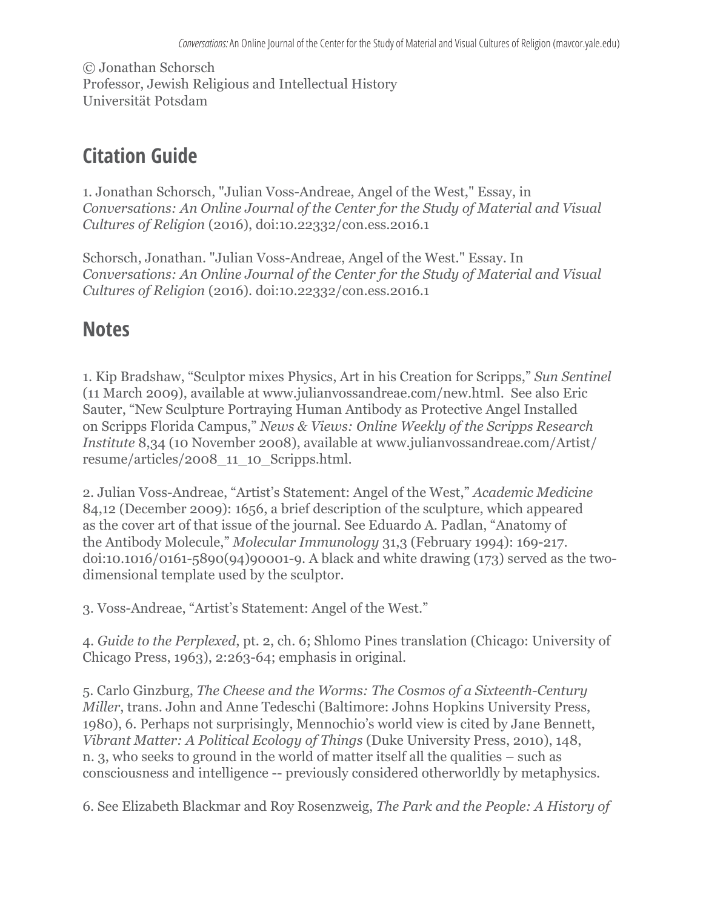© Jonathan Schorsch Professor, Jewish Religious and Intellectual History Universität Potsdam

## **Citation Guide**

1. Jonathan Schorsch, "Julian Voss-Andreae, Angel of the West," Essay, in *Conversations: An Online Journal of the Center for the Study of Material and Visual Cultures of Religion* (2016), doi:10.22332/con.ess.2016.1

Schorsch, Jonathan. "Julian Voss-Andreae, Angel of the West." Essay. In *Conversations: An Online Journal of the Center for the Study of Material and Visual Cultures of Religion* (2016). doi:10.22332/con.ess.2016.1

## **Notes**

1. Kip Bradshaw, "Sculptor mixes Physics, Art in his Creation for Scripps," *Sun Sentinel* (11 March 2009), available at www.julianvossandreae.com/new.html. See also Eric Sauter, "New Sculpture Portraying Human Antibody as Protective Angel Installed on Scripps Florida Campus," *News & Views: Online Weekly of the Scripps Research Institute* 8,34 (10 November 2008), available at www.julianvossandreae.com/Artist/ resume/articles/2008\_11\_10\_Scripps.html.

2. Julian Voss-Andreae, "Artist's Statement: Angel of the West," *Academic Medicine* 84,12 (December 2009): 1656, a brief description of the sculpture, which appeared as the cover art of that issue of the journal. See Eduardo A. Padlan, "Anatomy of the Antibody Molecule," *Molecular Immunology* 31,3 (February 1994): 169-217. doi:10.1016/0161-5890(94)90001-9. A black and white drawing (173) served as the twodimensional template used by the sculptor.

3. Voss-Andreae, "Artist's Statement: Angel of the West."

4. *Guide to the Perplexed*, pt. 2, ch. 6; Shlomo Pines translation (Chicago: University of Chicago Press, 1963), 2:263-64; emphasis in original.

5. Carlo Ginzburg, *The Cheese and the Worms: The Cosmos of a Sixteenth-Century Miller*, trans. John and Anne Tedeschi (Baltimore: Johns Hopkins University Press, 1980), 6. Perhaps not surprisingly, Mennochio's world view is cited by Jane Bennett, *Vibrant Matter: A Political Ecology of Things* (Duke University Press, 2010), 148, n. 3, who seeks to ground in the world of matter itself all the qualities – such as consciousness and intelligence -- previously considered otherworldly by metaphysics.

6. See Elizabeth Blackmar and Roy Rosenzweig, *The Park and the People: A History of*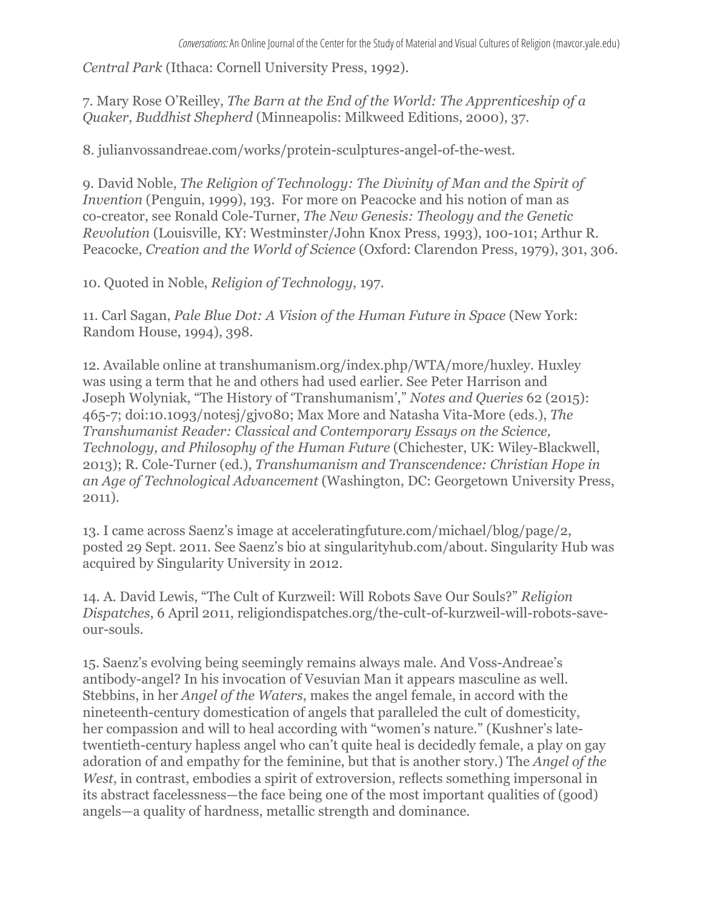*Central Park* (Ithaca: Cornell University Press, 1992).

7. Mary Rose O'Reilley, *The Barn at the End of the World: The Apprenticeship of a Quaker, Buddhist Shepherd* (Minneapolis: Milkweed Editions, 2000), 37.

8. julianvossandreae.com/works/protein-sculptures-angel-of-the-west.

9. David Noble, *The Religion of Technology: The Divinity of Man and the Spirit of Invention* (Penguin, 1999), 193. For more on Peacocke and his notion of man as co-creator, see Ronald Cole-Turner, *The New Genesis: Theology and the Genetic Revolution* (Louisville, KY: Westminster/John Knox Press, 1993), 100-101; Arthur R. Peacocke, *Creation and the World of Science* (Oxford: Clarendon Press, 1979), 301, 306.

10. Quoted in Noble, *Religion of Technology*, 197.

11. Carl Sagan, *Pale Blue Dot: A Vision of the Human Future in Space* (New York: Random House, 1994), 398.

12. Available online at transhumanism.org/index.php/WTA/more/huxley. Huxley was using a term that he and others had used earlier. See Peter Harrison and Joseph Wolyniak, "The History of 'Transhumanism'," *Notes and Queries* 62 (2015): 465-7; doi:10.1093/notesj/gjv080; Max More and Natasha Vita-More (eds.), *The Transhumanist Reader: Classical and Contemporary Essays on the Science, Technology, and Philosophy of the Human Future* (Chichester, UK: Wiley-Blackwell, 2013); R. Cole-Turner (ed.), *Transhumanism and Transcendence: Christian Hope in an Age of Technological Advancement* (Washington, DC: Georgetown University Press, 2011).

13. I came across Saenz's image at acceleratingfuture.com/michael/blog/page/2, posted 29 Sept. 2011. See Saenz's bio at singularityhub.com/about. Singularity Hub was acquired by Singularity University in 2012.

14. A. David Lewis, "The Cult of Kurzweil: Will Robots Save Our Souls?" *Religion Dispatches*, 6 April 2011, religiondispatches.org/the-cult-of-kurzweil-will-robots-saveour-souls.

15. Saenz's evolving being seemingly remains always male. And Voss-Andreae's antibody-angel? In his invocation of Vesuvian Man it appears masculine as well. Stebbins, in her *Angel of the Waters*, makes the angel female, in accord with the nineteenth-century domestication of angels that paralleled the cult of domesticity, her compassion and will to heal according with "women's nature." (Kushner's latetwentieth-century hapless angel who can't quite heal is decidedly female, a play on gay adoration of and empathy for the feminine, but that is another story.) The *Angel of the West*, in contrast, embodies a spirit of extroversion, reflects something impersonal in its abstract facelessness—the face being one of the most important qualities of (good) angels—a quality of hardness, metallic strength and dominance.